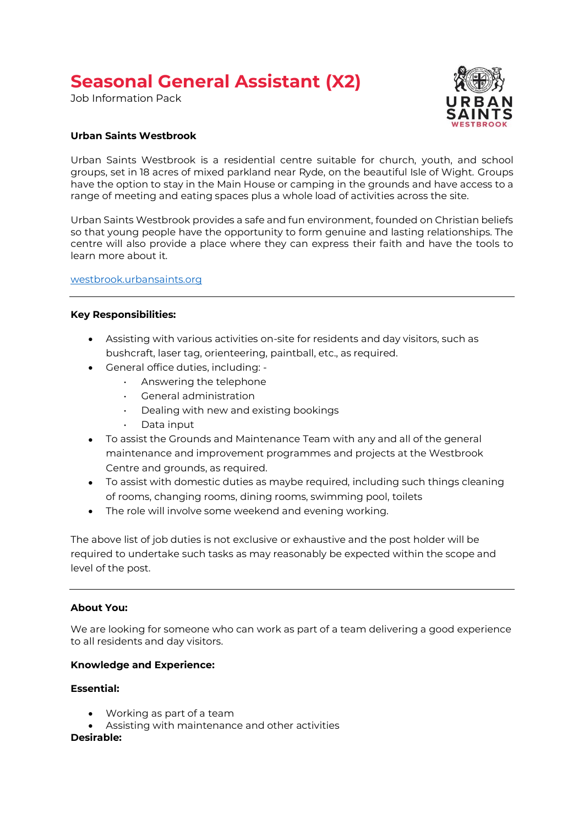# **Seasonal General Assistant (X2)**

Job Information Pack



# **Urban Saints Westbrook**

Urban Saints Westbrook is a residential centre suitable for church, youth, and school groups, set in 18 acres of mixed parkland near Ryde, on the beautiful Isle of Wight. Groups have the option to stay in the Main House or camping in the grounds and have access to a range of meeting and eating spaces plus a whole load of activities across the site.

Urban Saints Westbrook provides a safe and fun environment, founded on Christian beliefs so that young people have the opportunity to form genuine and lasting relationships. The centre will also provide a place where they can express their faith and have the tools to learn more about it.

[westbrook.urbansaints.org](https://westbrook.urbansaints.org/campaign/westbrook) 

#### **Key Responsibilities:**

- Assisting with various activities on-site for residents and day visitors, such as bushcraft, laser tag, orienteering, paintball, etc., as required.
- General office duties, including:
	- Answering the telephone
	- General administration
	- Dealing with new and existing bookings
	- Data input
- To assist the Grounds and Maintenance Team with any and all of the general maintenance and improvement programmes and projects at the Westbrook Centre and grounds, as required.
- To assist with domestic duties as maybe required, including such things cleaning of rooms, changing rooms, dining rooms, swimming pool, toilets
- The role will involve some weekend and evening working.

The above list of job duties is not exclusive or exhaustive and the post holder will be required to undertake such tasks as may reasonably be expected within the scope and level of the post.

#### **About You:**

We are looking for someone who can work as part of a team delivering a good experience to all residents and day visitors.

#### **Knowledge and Experience:**

# **Essential:**

- Working as part of a team
- Assisting with maintenance and other activities

#### **Desirable:**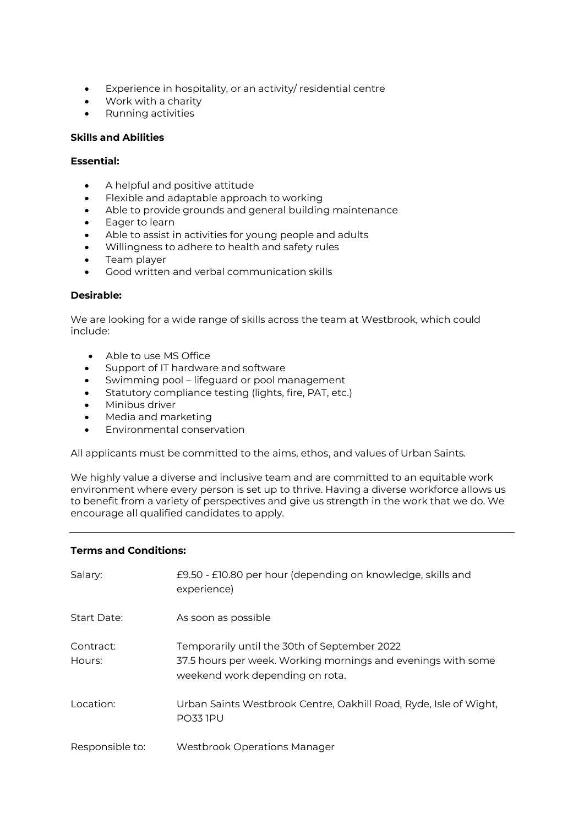- Experience in hospitality, or an activity/ residential centre
- Work with a charity
- Running activities

#### **Skills and Abilities**

# **Essential:**

- A helpful and positive attitude
- Flexible and adaptable approach to working
- Able to provide grounds and general building maintenance
- Eager to learn
- Able to assist in activities for young people and adults
- Willingness to adhere to health and safety rules
- Team player
- Good written and verbal communication skills

# **Desirable:**

We are looking for a wide range of skills across the team at Westbrook, which could include:

- Able to use MS Office
- Support of IT hardware and software
- Swimming pool lifeguard or pool management
- Statutory compliance testing (lights, fire, PAT, etc.)
- Minibus driver
- Media and marketing
- Environmental conservation

All applicants must be committed to the aims, ethos, and values of Urban Saints.

We highly value a diverse and inclusive team and are committed to an equitable work environment where every person is set up to thrive. Having a diverse workforce allows us to benefit from a variety of perspectives and give us strength in the work that we do. We encourage all qualified candidates to apply.

# **Terms and Conditions:**

| Salary:             | £9.50 - £10.80 per hour (depending on knowledge, skills and<br>experience)                                                                      |
|---------------------|-------------------------------------------------------------------------------------------------------------------------------------------------|
| Start Date:         | As soon as possible                                                                                                                             |
| Contract:<br>Hours: | Temporarily until the 30th of September 2022<br>37.5 hours per week. Working mornings and evenings with some<br>weekend work depending on rota. |
| Location:           | Urban Saints Westbrook Centre, Oakhill Road, Ryde, Isle of Wight,<br><b>PO33 1PU</b>                                                            |
| Responsible to:     | Westbrook Operations Manager                                                                                                                    |